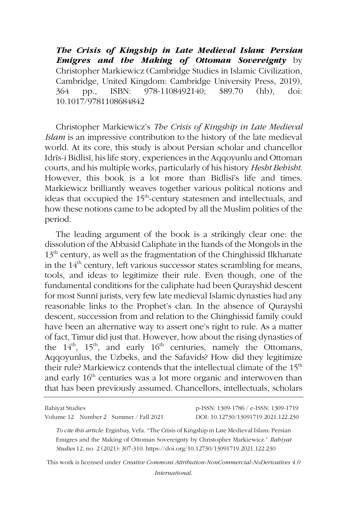*The Crisis of Kingship in Late Medieval Islam: Persian Emigres and the Making of Ottoman Sovereignty* by Christopher Markiewicz (Cambridge Studies in Islamic Civilization, Cambridge, United Kingdom: Cambridge University Press, 2019), 364 pp., ISBN: 978-1108492140; \$89.70 (hb), doi: 10.1017/9781108684842

Christopher Markiewicz's *The Crisis of Kingship in Late Medieval Islam* is an impressive contribution to the history of the late medieval world. At its core, this study is about Persian scholar and chancellor Idrīs-i Bidlisī, his life story, experiences in the Aqqoyunlu and Ottoman courts, and his multiple works, particularly of his history *Hesht Behisht*. However, this book is a lot more than Bidlisī's life and times. Markiewicz brilliantly weaves together various political notions and ideas that occupied the 15<sup>th</sup>-century statesmen and intellectuals, and how these notions came to be adopted by all the Muslim polities of the period.

The leading argument of the book is a strikingly clear one: the dissolution of the Abbasid Caliphate in the hands of the Mongols in the 13<sup>th</sup> century, as well as the fragmentation of the Chinghissid Ilkhanate in the  $14<sup>th</sup>$  century, left various successor states scrambling for means, tools, and ideas to legitimize their rule. Even though, one of the fundamental conditions for the caliphate had been Qurayshid descent for most Sunnī jurists, very few late medieval Islamic dynasties had any reasonable links to the Prophet's clan. In the absence of Qurayshī descent, succession from and relation to the Chinghissid family could have been an alternative way to assert one's right to rule. As a matter of fact, Timur did just that. However, how about the rising dynasties of the  $14<sup>th</sup>$ ,  $15<sup>th</sup>$ , and early  $16<sup>th</sup>$  centuries, namely the Ottomans, Aqqoyunlus, the Uzbeks, and the Safavids? How did they legitimize their rule? Markiewicz contends that the intellectual climate of the 15<sup>th</sup> and early 16<sup>th</sup> centuries was a lot more organic and interwoven than that has been previously assumed. Chancellors, intellectuals, scholars

| Ilahiyat Studies                      | p-ISSN: 1309-1786 / e-ISSN: 1309-1719 |
|---------------------------------------|---------------------------------------|
| Volume 12 Number 2 Summer / Fall 2021 | DOI: 10.12730/13091719.2021.122.230   |

*To cite this article*: Erginbaş, Vefa. "The Crisis of Kingship in Late Medieval Islam: Persian Emigres and the Making of Ottoman Sovereignty by Christopher Markiewicz." *Ilahiyat Studies* 12, no. 2 (2021): 307-310. https://doi.org/10.12730/13091719.2021.122.230

This work is licensed under *Creative Commons Attribution-NonCommercial-NoDerivatives 4.0 International*.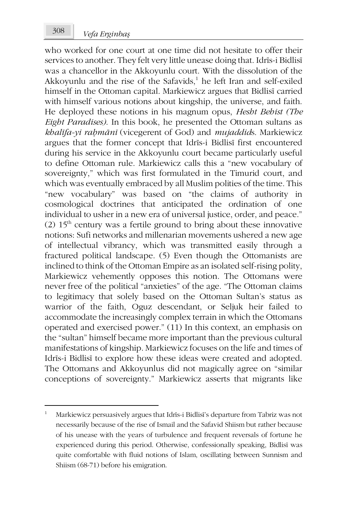who worked for one court at one time did not hesitate to offer their services to another. They felt very little unease doing that. Idrīs-i Bidlisī was a chancellor in the Akkoyunlu court. With the dissolution of the Akkoyunlu and the rise of the Safavids, <sup>1</sup> he left Iran and self-exiled himself in the Ottoman capital. Markiewicz argues that Bidlisī carried with himself various notions about kingship, the universe, and faith. He deployed these notions in his magnum opus, *Hesht Behist (The Eight Paradises)*. In this book, he presented the Ottoman sultans as *khalīfa-yi raḥmānī* (vicegerent of God) and *mujaddid*s. Markiewicz argues that the former concept that Idrīs-i Bidlisī first encountered during his service in the Akkoyunlu court became particularly useful to define Ottoman rule. Markiewicz calls this a "new vocabulary of sovereignty," which was first formulated in the Timurid court, and which was eventually embraced by all Muslim polities of the time. This "new vocabulary" was based on "the claims of authority in cosmological doctrines that anticipated the ordination of one individual to usher in a new era of universal justice, order, and peace." (2)  $15<sup>th</sup>$  century was a fertile ground to bring about these innovative notions: Sufi networks and millenarian movements ushered a new age of intellectual vibrancy, which was transmitted easily through a fractured political landscape. (5) Even though the Ottomanists are inclined to think of the Ottoman Empire as an isolated self-rising polity, Markiewicz vehemently opposes this notion. The Ottomans were never free of the political "anxieties" of the age. "The Ottoman claims to legitimacy that solely based on the Ottoman Sultan's status as warrior of the faith, Oguz descendant, or Seljuk heir failed to accommodate the increasingly complex terrain in which the Ottomans operated and exercised power." (11) In this context, an emphasis on the "sultan" himself became more important than the previous cultural manifestations of kingship. Markiewicz focuses on the life and times of Idrīs-i Bidlisī to explore how these ideas were created and adopted. The Ottomans and Akkoyunlus did not magically agree on "similar conceptions of sovereignty." Markiewicz asserts that migrants like

1

<sup>1</sup> Markiewicz persuasively argues that Idrīs-i Bidlisī's departure from Tabriz was not necessarily because of the rise of Ismail and the Safavid Shiism but rather because of his unease with the years of turbulence and frequent reversals of fortune he experienced during this period. Otherwise, confessionally speaking, Bidlisī was quite comfortable with fluid notions of Islam, oscillating between Sunnism and Shiism (68-71) before his emigration.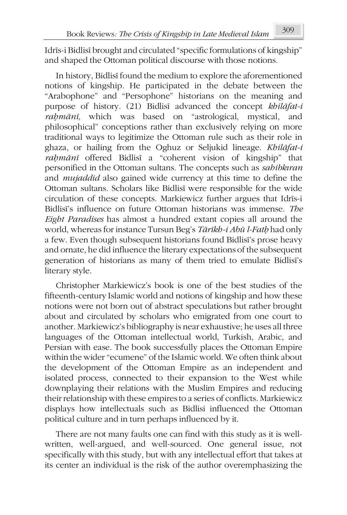Idrīs-i Bidlisī brought and circulated "specific formulations of kingship" and shaped the Ottoman political discourse with those notions.

In history, Bidlisī found the medium to explore the aforementioned notions of kingship. He participated in the debate between the "Arabophone" and "Persophone" historians on the meaning and purpose of history. (21) Bidlisī advanced the concept *khilāfat-i raḥmānī*, which was based on "astrological, mystical, and philosophical" conceptions rather than exclusively relying on more traditional ways to legitimize the Ottoman rule such as their role in ghaza, or hailing from the Oghuz or Seljukid lineage. *Khilāfat-i raḥmānī* offered Bidlisī a "coherent vision of kingship" that personified in the Ottoman sultans. The concepts such as *sahibkıran* and *mujaddid* also gained wide currency at this time to define the Ottoman sultans. Scholars like Bidlisī were responsible for the wide circulation of these concepts. Markiewicz further argues that Idrīs-i Bidlisī's influence on future Ottoman historians was immense. *The Eight Paradises* has almost a hundred extant copies all around the world, whereas for instance Tursun Beg's *Tārīkh-i Abū l-Fatḥ* had only a few. Even though subsequent historians found Bidlisī's prose heavy and ornate, he did influence the literary expectations of the subsequent generation of historians as many of them tried to emulate Bidlisī's literary style.

Christopher Markiewicz's book is one of the best studies of the fifteenth-century Islamic world and notions of kingship and how these notions were not born out of abstract speculations but rather brought about and circulated by scholars who emigrated from one court to another. Markiewicz's bibliography is near exhaustive; he uses all three languages of the Ottoman intellectual world, Turkish, Arabic, and Persian with ease. The book successfully places the Ottoman Empire within the wider "ecumene" of the Islamic world. We often think about the development of the Ottoman Empire as an independent and isolated process, connected to their expansion to the West while downplaying their relations with the Muslim Empires and reducing their relationship with these empires to a series of conflicts. Markiewicz displays how intellectuals such as Bidlisi influenced the Ottoman political culture and in turn perhaps influenced by it.

There are not many faults one can find with this study as it is wellwritten, well-argued, and well-sourced. One general issue, not specifically with this study, but with any intellectual effort that takes at its center an individual is the risk of the author overemphasizing the